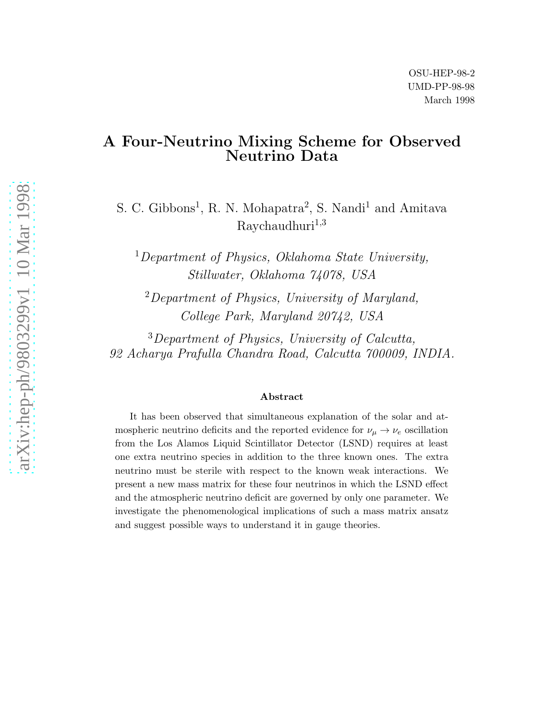# A Four-Neutrino Mixing Scheme for Observed Neutrino Data

S. C. Gibbons<sup>1</sup>, R. N. Mohapatra<sup>2</sup>, S. Nandi<sup>1</sup> and Amitava  $Raychaudhuri<sup>1,3</sup>$ 

<sup>1</sup>Department of Physics, Oklahoma State University, Stillwater, Oklahoma 74078, USA

<sup>2</sup>Department of Physics, University of Maryland, College Park, Maryland 20742, USA

<sup>3</sup>Department of Physics, University of Calcutta, 92 Acharya Prafulla Chandra Road, Calcutta 700009, INDIA.

#### Abstract

It has been observed that simultaneous explanation of the solar and atmospheric neutrino deficits and the reported evidence for  $\nu_{\mu} \rightarrow \nu_{e}$  oscillation from the Los Alamos Liquid Scintillator Detector (LSND) requires at least one extra neutrino species in addition to the three known ones. The extra neutrino must be sterile with respect to the known weak interactions. We present a new mass matrix for these four neutrinos in which the LSND effect and the atmospheric neutrino deficit are governed by only one parameter. We investigate the phenomenological implications of such a mass matrix ansatz and suggest possible ways to understand it in gauge theories.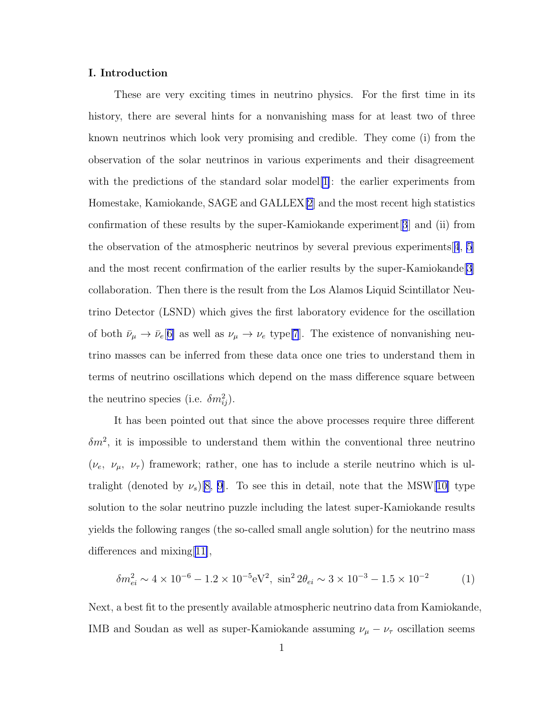# I. Introduction

These are very exciting times in neutrino physics. For the first time in its history, there are several hints for a nonvanishing mass for at least two of three known neutrinos which look very promising and credible. They come (i) from the observation of the solar neutrinos in various experiments and their disagreement with the predictions of the standard solar model [[1\]](#page-12-0): the earlier experiments from Homestake, Kamiokande, SAGE and GALLEX[\[2](#page-12-0)] and the most recent high statistics confirmation of these results by the super-Kamiokande experiment[[3](#page-12-0)] and (ii) from the observation of the atmospheric neutrinos by several previous experiments  $4, 5$  $4, 5$  $4, 5$ and the most recent confirmation of the earlier results by the super-Kamiokande[\[3](#page-12-0)] collaboration. Then there is the result from the Los Alamos Liquid Scintillator Neutrino Detector (LSND) which gives the first laboratory evidence for the oscillation of both  $\bar{\nu}_{\mu} \to \bar{\nu}_e[6]$  $\bar{\nu}_{\mu} \to \bar{\nu}_e[6]$  as well as  $\nu_{\mu} \to \nu_e$  type[\[7](#page-13-0)]. The existence of nonvanishing neutrino masses can be inferred from these data once one tries to understand them in terms of neutrino oscillations which depend on the mass difference square between the neutrino species (i.e.  $\delta m_{ij}^2$ ).

It has been pointed out that since the above processes require three different  $\delta m^2$ , it is impossible to understand them within the conventional three neutrino  $(\nu_e, \nu_\mu, \nu_\tau)$  framework; rather, one has to include a sterile neutrino which is ultralight (denoted by  $\nu_s$ )[\[8, 9\]](#page-13-0). To see this in detail, note that the MSW[[10\]](#page-13-0) type solution to the solar neutrino puzzle including the latest super-Kamiokande results yields the following ranges (the so-called small angle solution) for the neutrino mass differences and mixing[[11\]](#page-13-0),

$$
\delta m_{ei}^2 \sim 4 \times 10^{-6} - 1.2 \times 10^{-5} \, \text{eV}^2, \ \sin^2 2\theta_{ei} \sim 3 \times 10^{-3} - 1.5 \times 10^{-2} \tag{1}
$$

Next, a best fit to the presently available atmospheric neutrino data from Kamiokande, IMB and Soudan as well as super-Kamiokande assuming  $\nu_{\mu} - \nu_{\tau}$  oscillation seems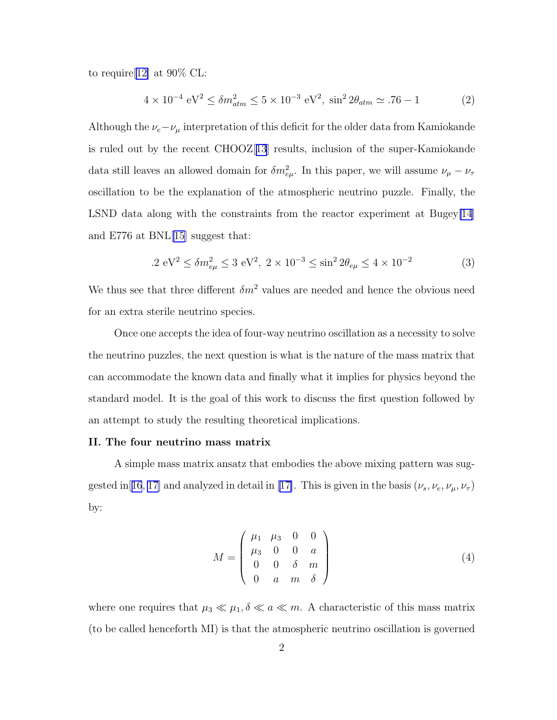<span id="page-2-0"></span>to require[[12\]](#page-13-0) at 90% CL:

$$
4 \times 10^{-4} \text{ eV}^2 \le \delta m_{atm}^2 \le 5 \times 10^{-3} \text{ eV}^2, \sin^2 2\theta_{atm} \simeq .76 - 1 \tag{2}
$$

Although the  $\nu_e-\nu_\mu$  interpretation of this deficit for the older data from Kamiokande is ruled out by the recent CHOOZ[[13](#page-13-0)] results, inclusion of the super-Kamiokande data still leaves an allowed domain for  $\delta m_{e\mu}^2$ . In this paper, we will assume  $\nu_\mu - \nu_\tau$ oscillation to be the explanation of the atmospheric neutrino puzzle. Finally, the LSND data along with the constraints from the reactor experiment at Bugey[\[14](#page-13-0)] and E776 at BNL[\[15](#page-13-0)] suggest that:

$$
.2 \text{ eV}^2 \le \delta m_{e\mu}^2 \le 3 \text{ eV}^2, \ 2 \times 10^{-3} \le \sin^2 2\theta_{e\mu} \le 4 \times 10^{-2} \tag{3}
$$

We thus see that three different  $\delta m^2$  values are needed and hence the obvious need for an extra sterile neutrino species.

Once one accepts the idea of four-way neutrino oscillation as a necessity to solve the neutrino puzzles, the next question is what is the nature of the mass matrix that can accommodate the known data and finally what it implies for physics beyond the standard model. It is the goal of this work to discuss the first question followed by an attempt to study the resulting theoretical implications.

#### II. The four neutrino mass matrix

A simple mass matrix ansatz that embodies the above mixing pattern was sug-gested in[[16](#page-13-0), [17\]](#page-13-0)and analyzed in detail in [[17\]](#page-13-0). This is given in the basis  $(\nu_s, \nu_e, \nu_\mu, \nu_\tau)$ by:

$$
M = \begin{pmatrix} \mu_1 & \mu_3 & 0 & 0 \\ \mu_3 & 0 & 0 & a \\ 0 & 0 & \delta & m \\ 0 & a & m & \delta \end{pmatrix}
$$
 (4)

where one requires that  $\mu_3 \ll \mu_1, \delta \ll a \ll m$ . A characteristic of this mass matrix (to be called henceforth MI) is that the atmospheric neutrino oscillation is governed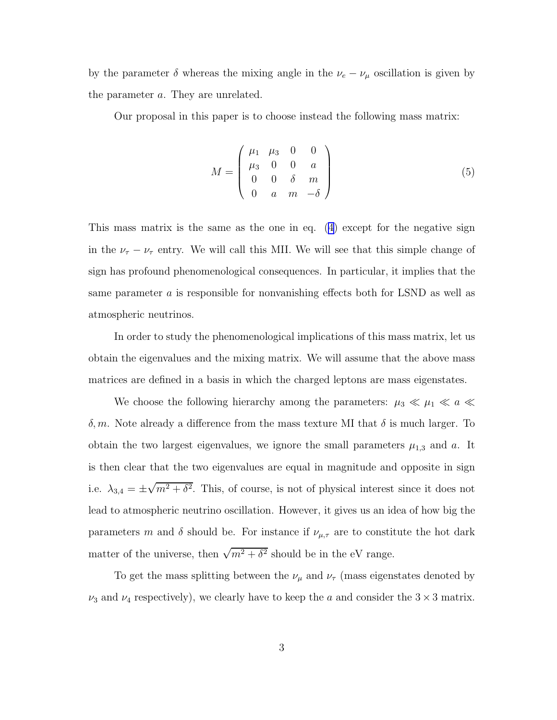<span id="page-3-0"></span>by the parameter  $\delta$  whereas the mixing angle in the  $\nu_e - \nu_\mu$  oscillation is given by the parameter a. They are unrelated.

Our proposal in this paper is to choose instead the following mass matrix:

$$
M = \begin{pmatrix} \mu_1 & \mu_3 & 0 & 0 \\ \mu_3 & 0 & 0 & a \\ 0 & 0 & \delta & m \\ 0 & a & m & -\delta \end{pmatrix}
$$
 (5)

This mass matrix is the same as the one in eq. [\(4\)](#page-2-0) except for the negative sign in the  $\nu_{\tau} - \nu_{\tau}$  entry. We will call this MII. We will see that this simple change of sign has profound phenomenological consequences. In particular, it implies that the same parameter a is responsible for nonvanishing effects both for LSND as well as atmospheric neutrinos.

In order to study the phenomenological implications of this mass matrix, let us obtain the eigenvalues and the mixing matrix. We will assume that the above mass matrices are defined in a basis in which the charged leptons are mass eigenstates.

We choose the following hierarchy among the parameters:  $\mu_3 \ll \mu_1 \ll a \ll$ δ, m. Note already a difference from the mass texture MI that δ is much larger. To obtain the two largest eigenvalues, we ignore the small parameters  $\mu_{1,3}$  and a. It is then clear that the two eigenvalues are equal in magnitude and opposite in sign i.e.  $\lambda_{3,4} = \pm \sqrt{m^2 + \delta^2}$ . This, of course, is not of physical interest since it does not lead to atmospheric neutrino oscillation. However, it gives us an idea of how big the parameters m and  $\delta$  should be. For instance if  $\nu_{\mu,\tau}$  are to constitute the hot dark matter of the universe, then  $\sqrt{m^2 + \delta^2}$  should be in the eV range.

To get the mass splitting between the  $\nu_\mu$  and  $\nu_\tau$  (mass eigenstates denoted by  $\nu_3$  and  $\nu_4$  respectively), we clearly have to keep the a and consider the  $3 \times 3$  matrix.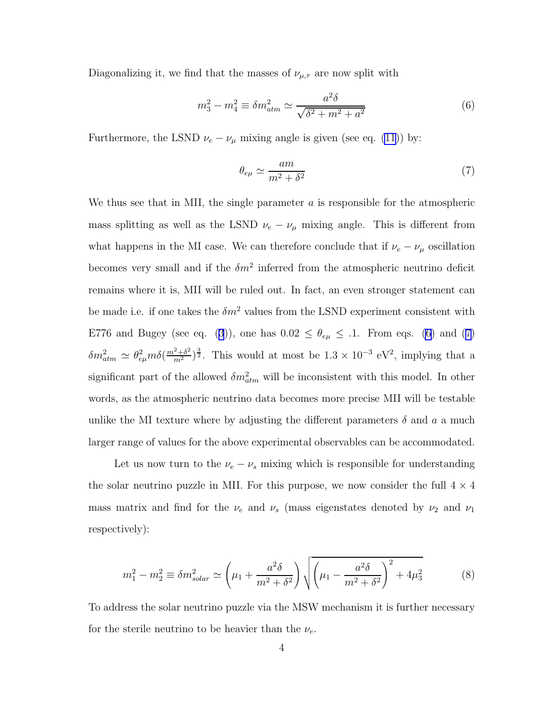Diagonalizing it, we find that the masses of  $\nu_{\mu,\tau}$  are now split with

$$
m_3^2 - m_4^2 \equiv \delta m_{atm}^2 \simeq \frac{a^2 \delta}{\sqrt{\delta^2 + m^2 + a^2}}
$$
 (6)

Furthermore, the LSND  $\nu_e - \nu_\mu$  mixing angle is given (see eq. [\(11](#page-5-0))) by:

$$
\theta_{e\mu} \simeq \frac{am}{m^2 + \delta^2} \tag{7}
$$

We thus see that in MII, the single parameter  $\alpha$  is responsible for the atmospheric mass splitting as well as the LSND  $\nu_e - \nu_\mu$  mixing angle. This is different from what happens in the MI case. We can therefore conclude that if  $\nu_e - \nu_\mu$  oscillation becomes very small and if the  $\delta m^2$  inferred from the atmospheric neutrino deficit remains where it is, MII will be ruled out. In fact, an even stronger statement can be made i.e. if one takes the  $\delta m^2$  values from the LSND experiment consistent with E776and Bugey (see eq. ([3](#page-2-0))), one has  $0.02 \le \theta_{e\mu} \le .1$ . From eqs. (6) and (7)  $\delta m_{atm}^2 \simeq \theta_{e\mu}^2 m \delta(\frac{m^2+\delta^2}{m^2})^{\frac{3}{2}}$ . This would at most be  $1.3 \times 10^{-3}$  eV<sup>2</sup>, implying that a significant part of the allowed  $\delta m_{atm}^2$  will be inconsistent with this model. In other words, as the atmospheric neutrino data becomes more precise MII will be testable unlike the MI texture where by adjusting the different parameters  $\delta$  and  $\alpha$  a much larger range of values for the above experimental observables can be accommodated.

Let us now turn to the  $\nu_e - \nu_s$  mixing which is responsible for understanding the solar neutrino puzzle in MII. For this purpose, we now consider the full  $4 \times 4$ mass matrix and find for the  $\nu_e$  and  $\nu_s$  (mass eigenstates denoted by  $\nu_2$  and  $\nu_1$ respectively):

$$
m_1^2 - m_2^2 \equiv \delta m_{solar}^2 \simeq \left(\mu_1 + \frac{a^2 \delta}{m^2 + \delta^2}\right) \sqrt{\left(\mu_1 - \frac{a^2 \delta}{m^2 + \delta^2}\right)^2 + 4\mu_3^2}
$$
 (8)

To address the solar neutrino puzzle via the MSW mechanism it is further necessary for the sterile neutrino to be heavier than the  $\nu_e$ .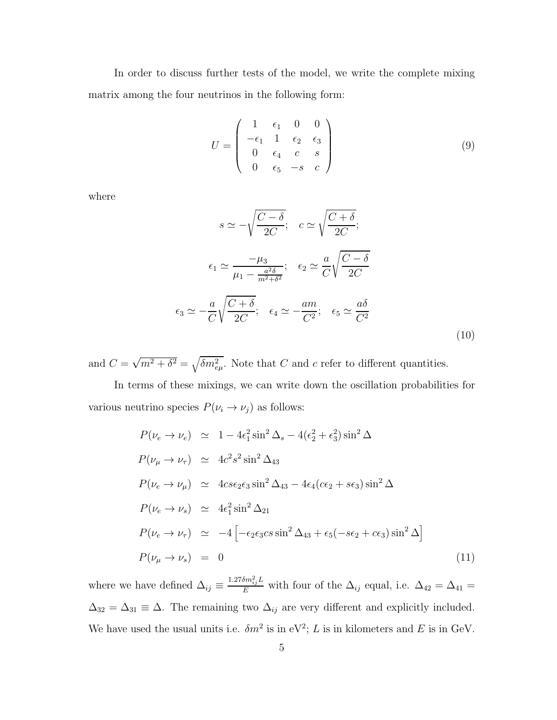<span id="page-5-0"></span>In order to discuss further tests of the model, we write the complete mixing matrix among the four neutrinos in the following form:

$$
U = \begin{pmatrix} 1 & \epsilon_1 & 0 & 0 \\ -\epsilon_1 & 1 & \epsilon_2 & \epsilon_3 \\ 0 & \epsilon_4 & c & s \\ 0 & \epsilon_5 & -s & c \end{pmatrix}
$$
 (9)

where

$$
s \simeq -\sqrt{\frac{C-\delta}{2C}}; \quad c \simeq \sqrt{\frac{C+\delta}{2C}}; \n\epsilon_1 \simeq \frac{-\mu_3}{\mu_1 - \frac{a^2\delta}{m^2 + \delta^2}}; \quad \epsilon_2 \simeq \frac{a}{C} \sqrt{\frac{C-\delta}{2C}}\n\epsilon_3 \simeq -\frac{a}{C} \sqrt{\frac{C+\delta}{2C}}; \quad \epsilon_4 \simeq -\frac{am}{C^2}; \quad \epsilon_5 \simeq \frac{a\delta}{C^2}
$$
\n(10)

and  $C = \sqrt{m^2 + \delta^2} = \sqrt{\delta m_{e\mu}^2}$ . Note that C and c refer to different quantities.

In terms of these mixings, we can write down the oscillation probabilities for various neutrino species  $P(\nu_i \to \nu_j)$  as follows:

$$
P(\nu_e \to \nu_e) \simeq 1 - 4\epsilon_1^2 \sin^2 \Delta_s - 4(\epsilon_2^2 + \epsilon_3^2) \sin^2 \Delta
$$
  
\n
$$
P(\nu_\mu \to \nu_\tau) \simeq 4c^2 s^2 \sin^2 \Delta_{43}
$$
  
\n
$$
P(\nu_e \to \nu_\mu) \simeq 4c s \epsilon_2 \epsilon_3 \sin^2 \Delta_{43} - 4\epsilon_4 (c \epsilon_2 + s \epsilon_3) \sin^2 \Delta
$$
  
\n
$$
P(\nu_e \to \nu_s) \simeq 4\epsilon_1^2 \sin^2 \Delta_{21}
$$
  
\n
$$
P(\nu_e \to \nu_\tau) \simeq -4 \left[ -\epsilon_2 \epsilon_3 c s \sin^2 \Delta_{43} + \epsilon_5 (-s \epsilon_2 + c \epsilon_3) \sin^2 \Delta \right]
$$
  
\n
$$
P(\nu_\mu \to \nu_s) = 0
$$
\n(11)

where we have defined  $\Delta_{ij} \equiv \frac{1.27 \delta m_{ij}^2 L}{E}$  with four of the  $\Delta_{ij}$  equal, i.e.  $\Delta_{42} = \Delta_{41} =$  $\Delta_{32} = \Delta_{31} \equiv \Delta$ . The remaining two  $\Delta_{ij}$  are very different and explicitly included. We have used the usual units i.e.  $\delta m^2$  is in eV<sup>2</sup>; L is in kilometers and E is in GeV.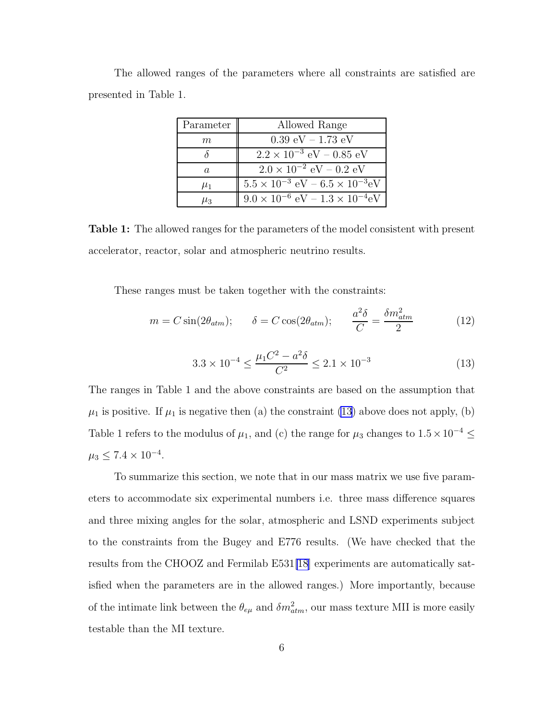|                       |  | The allowed ranges of the parameters where all constraints are satisfied are |  |  |  |
|-----------------------|--|------------------------------------------------------------------------------|--|--|--|
| presented in Table 1. |  |                                                                              |  |  |  |

| Parameter | Allowed Range                                                              |
|-----------|----------------------------------------------------------------------------|
| $\,m$     | $0.39 \text{ eV} - 1.73 \text{ eV}$                                        |
|           | $2.2 \times 10^{-3}$ eV – 0.85 eV                                          |
| a.        | $2.0 \times 10^{-2}$ eV – 0.2 eV                                           |
| $\mu_1$   | $5.5 \times 10^{-3}$ eV $- 6.5 \times 10^{-3}$ eV                          |
| $\mu_3$   | $\vert 9.0 \times 10^{-6} \text{ eV} - 1.3 \times 10^{-4} \text{eV} \vert$ |

Table 1: The allowed ranges for the parameters of the model consistent with present accelerator, reactor, solar and atmospheric neutrino results.

These ranges must be taken together with the constraints:

$$
m = C \sin(2\theta_{atm}); \qquad \delta = C \cos(2\theta_{atm}); \qquad \frac{a^2 \delta}{C} = \frac{\delta m_{atm}^2}{2} \tag{12}
$$

$$
3.3 \times 10^{-4} \le \frac{\mu_1 C^2 - a^2 \delta}{C^2} \le 2.1 \times 10^{-3}
$$
 (13)

The ranges in Table 1 and the above constraints are based on the assumption that  $\mu_1$  is positive. If  $\mu_1$  is negative then (a) the constraint (13) above does not apply, (b) Table 1 refers to the modulus of  $\mu_1$ , and (c) the range for  $\mu_3$  changes to  $1.5 \times 10^{-4} \leq$  $\mu_3 \leq 7.4 \times 10^{-4}$ .

To summarize this section, we note that in our mass matrix we use five parameters to accommodate six experimental numbers i.e. three mass difference squares and three mixing angles for the solar, atmospheric and LSND experiments subject to the constraints from the Bugey and E776 results. (We have checked that the results from the CHOOZ and Fermilab E531[\[18\]](#page-13-0) experiments are automatically satisfied when the parameters are in the allowed ranges.) More importantly, because of the intimate link between the  $\theta_{e\mu}$  and  $\delta m^2_{atm}$ , our mass texture MII is more easily testable than the MI texture.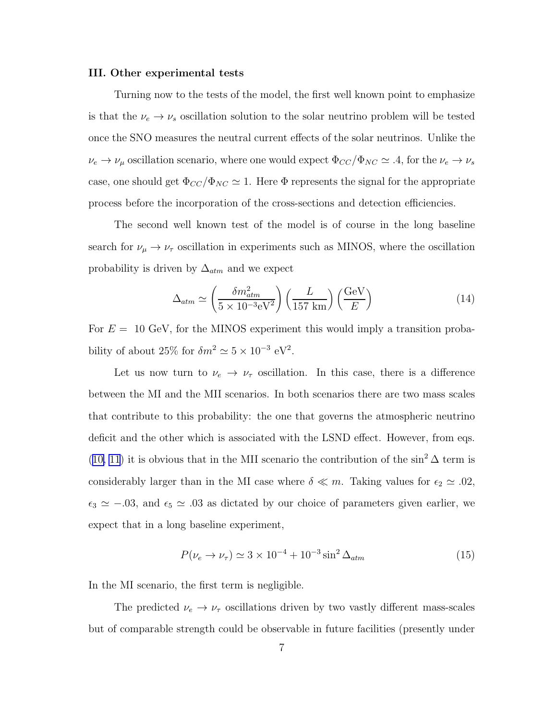#### III. Other experimental tests

Turning now to the tests of the model, the first well known point to emphasize is that the  $\nu_e \rightarrow \nu_s$  oscillation solution to the solar neutrino problem will be tested once the SNO measures the neutral current effects of the solar neutrinos. Unlike the  $\nu_e \to \nu_\mu$  oscillation scenario, where one would expect  $\Phi_{CC}/\Phi_{NC} \simeq .4$ , for the  $\nu_e \to \nu_s$ case, one should get  $\Phi_{CC}/\Phi_{NC} \simeq 1$ . Here  $\Phi$  represents the signal for the appropriate process before the incorporation of the cross-sections and detection efficiencies.

The second well known test of the model is of course in the long baseline search for  $\nu_{\mu} \rightarrow \nu_{\tau}$  oscillation in experiments such as MINOS, where the oscillation probability is driven by  $\Delta_{atm}$  and we expect

$$
\Delta_{atm} \simeq \left(\frac{\delta m_{atm}^2}{5 \times 10^{-3} \text{eV}^2}\right) \left(\frac{L}{157 \text{ km}}\right) \left(\frac{\text{GeV}}{E}\right) \tag{14}
$$

For  $E = 10$  GeV, for the MINOS experiment this would imply a transition probability of about 25% for  $\delta m^2 \simeq 5 \times 10^{-3} \text{ eV}^2$ .

Let us now turn to  $\nu_e \rightarrow \nu_\tau$  oscillation. In this case, there is a difference between the MI and the MII scenarios. In both scenarios there are two mass scales that contribute to this probability: the one that governs the atmospheric neutrino deficit and the other which is associated with the LSND effect. However, from eqs. ([10, 11](#page-5-0)) it is obvious that in the MII scenario the contribution of the  $\sin^2 \Delta$  term is considerably larger than in the MI case where  $\delta \ll m$ . Taking values for  $\epsilon_2 \simeq .02$ ,  $\epsilon_3 \simeq -0.03$ , and  $\epsilon_5 \simeq 0.03$  as dictated by our choice of parameters given earlier, we expect that in a long baseline experiment,

$$
P(\nu_e \to \nu_\tau) \simeq 3 \times 10^{-4} + 10^{-3} \sin^2 \Delta_{atm}
$$
 (15)

In the MI scenario, the first term is negligible.

The predicted  $\nu_e \rightarrow \nu_\tau$  oscillations driven by two vastly different mass-scales but of comparable strength could be observable in future facilities (presently under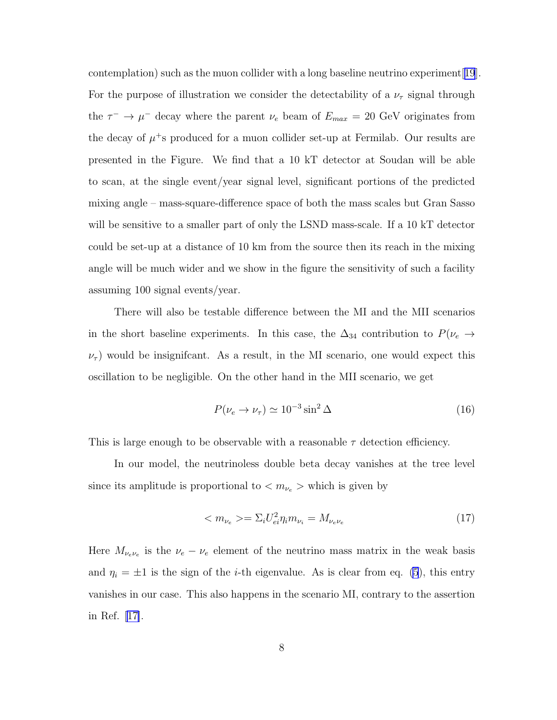contemplation) such as the muon collider with a long baseline neutrino experiment[[19](#page-13-0)]. For the purpose of illustration we consider the detectability of a  $\nu_{\tau}$  signal through the  $\tau^{-} \to \mu^{-}$  decay where the parent  $\nu_e$  beam of  $E_{max} = 20$  GeV originates from the decay of  $\mu$ <sup>+</sup>s produced for a muon collider set-up at Fermilab. Our results are presented in the Figure. We find that a 10 kT detector at Soudan will be able to scan, at the single event/year signal level, significant portions of the predicted mixing angle – mass-square-difference space of both the mass scales but Gran Sasso will be sensitive to a smaller part of only the LSND mass-scale. If a 10 kT detector could be set-up at a distance of 10 km from the source then its reach in the mixing angle will be much wider and we show in the figure the sensitivity of such a facility assuming 100 signal events/year.

There will also be testable difference between the MI and the MII scenarios in the short baseline experiments. In this case, the  $\Delta_{34}$  contribution to  $P(\nu_e \rightarrow$  $\nu_{\tau}$ ) would be insignificant. As a result, in the MI scenario, one would expect this oscillation to be negligible. On the other hand in the MII scenario, we get

$$
P(\nu_e \to \nu_\tau) \simeq 10^{-3} \sin^2 \Delta \tag{16}
$$

This is large enough to be observable with a reasonable  $\tau$  detection efficiency.

In our model, the neutrinoless double beta decay vanishes at the tree level since its amplitude is proportional to  $\langle m_{\nu_e} \rangle$  which is given by

$$
\langle m_{\nu_e} \rangle = \Sigma_i U_{ei}^2 \eta_i m_{\nu_i} = M_{\nu_e \nu_e}
$$
\n(17)

Here  $M_{\nu_e \nu_e}$  is the  $\nu_e - \nu_e$  element of the neutrino mass matrix in the weak basis and  $\eta_i = \pm 1$  is the sign of the *i*-th eigenvalue. As is clear from eq. [\(5](#page-3-0)), this entry vanishes in our case. This also happens in the scenario MI, contrary to the assertion in Ref.[[17\]](#page-13-0).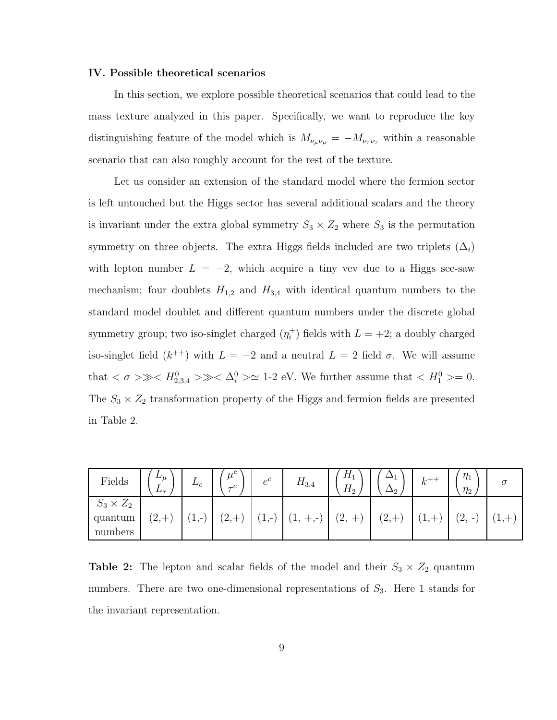### IV. Possible theoretical scenarios

In this section, we explore possible theoretical scenarios that could lead to the mass texture analyzed in this paper. Specifically, we want to reproduce the key distinguishing feature of the model which is  $M_{\nu_{\mu}\nu_{\mu}} = -M_{\nu_{\tau}\nu_{\tau}}$  within a reasonable scenario that can also roughly account for the rest of the texture.

Let us consider an extension of the standard model where the fermion sector is left untouched but the Higgs sector has several additional scalars and the theory is invariant under the extra global symmetry  $S_3 \times Z_2$  where  $S_3$  is the permutation symmetry on three objects. The extra Higgs fields included are two triplets  $(\Delta_i)$ with lepton number  $L = -2$ , which acquire a tiny vev due to a Higgs see-saw mechanism; four doublets  $H_{1,2}$  and  $H_{3,4}$  with identical quantum numbers to the standard model doublet and different quantum numbers under the discrete global symmetry group; two iso-singlet charged  $(\eta_i^+$  $i^{\dagger}$ ) fields with  $L = +2$ ; a doubly charged iso-singlet field  $(k^{++})$  with  $L = -2$  and a neutral  $L = 2$  field  $\sigma$ . We will assume that  $\langle \sigma \rangle \gg \langle H_{2,3,4}^0 \rangle \gg \langle \Delta_i^0 \rangle \simeq 1$ -2 eV. We further assume that  $\langle H_1^0 \rangle = 0$ . The  $S_3 \times Z_2$  transformation property of the Higgs and fermion fields are presented in Table 2.

| $\operatorname{Fields}$ | $L_{\mu}$<br>$L_{\tau}$ | $\mathcal{L}_e$ | $\mu^{\circ}$<br>$\sqrt{2}$<br>$\tau$ | $e^c$                                                     | $H_{3,4}$ | $H_1$<br>$H_2$ | مد             | $k^+$ | $\eta_1$<br>$\eta_2$                                    | $\sigma$ |
|-------------------------|-------------------------|-----------------|---------------------------------------|-----------------------------------------------------------|-----------|----------------|----------------|-------|---------------------------------------------------------|----------|
| $S_3 \times Z_2$        |                         |                 |                                       |                                                           |           |                |                |       |                                                         |          |
| quantum                 | '2,                     | 1<br>7.477      | (2,                                   | ำ<br>$\overline{\phantom{0}}$<br>$\mathbf{1}, \mathbf{-}$ | T,        | $^{\prime}2,$  | $\mathbf{12},$ |       | $\curvearrowright$<br>$\qquad \qquad \blacksquare$<br>∠ | <b>д</b> |
| numbers                 |                         |                 |                                       |                                                           |           |                |                |       |                                                         |          |

**Table 2:** The lepton and scalar fields of the model and their  $S_3 \times Z_2$  quantum numbers. There are two one-dimensional representations of  $S_3$ . Here 1 stands for the invariant representation.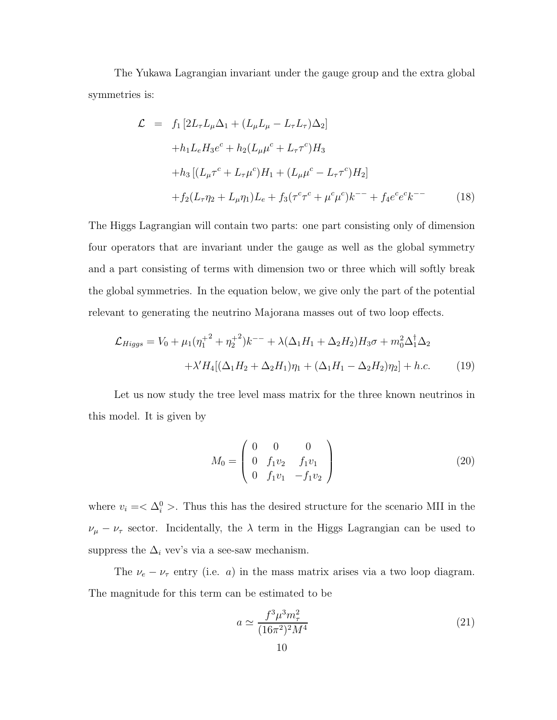The Yukawa Lagrangian invariant under the gauge group and the extra global symmetries is:

$$
\mathcal{L} = f_1 \left[ 2L_{\tau} L_{\mu} \Delta_1 + (L_{\mu} L_{\mu} - L_{\tau} L_{\tau}) \Delta_2 \right]
$$
  
+  $h_1 L_e H_3 e^c + h_2 (L_{\mu} \mu^c + L_{\tau} \tau^c) H_3$   
+  $h_3 \left[ (L_{\mu} \tau^c + L_{\tau} \mu^c) H_1 + (L_{\mu} \mu^c - L_{\tau} \tau^c) H_2 \right]$   
+  $f_2 (L_{\tau} \eta_2 + L_{\mu} \eta_1) L_e + f_3 (\tau^c \tau^c + \mu^c \mu^c) k^{--} + f_4 e^c e^c k^{--}$  (18)

The Higgs Lagrangian will contain two parts: one part consisting only of dimension four operators that are invariant under the gauge as well as the global symmetry and a part consisting of terms with dimension two or three which will softly break the global symmetries. In the equation below, we give only the part of the potential relevant to generating the neutrino Majorana masses out of two loop effects.

$$
\mathcal{L}_{Higgs} = V_0 + \mu_1 (\eta_1^{+2} + \eta_2^{+2}) k^{-} + \lambda (\Delta_1 H_1 + \Delta_2 H_2) H_3 \sigma + m_0^2 \Delta_1^{\dagger} \Delta_2 \n+ \lambda' H_4 [(\Delta_1 H_2 + \Delta_2 H_1) \eta_1 + (\Delta_1 H_1 - \Delta_2 H_2) \eta_2] + h.c.
$$
\n(19)

Let us now study the tree level mass matrix for the three known neutrinos in this model. It is given by

$$
M_0 = \begin{pmatrix} 0 & 0 & 0 \\ 0 & f_1 v_2 & f_1 v_1 \\ 0 & f_1 v_1 & -f_1 v_2 \end{pmatrix}
$$
 (20)

where  $v_i = \langle \Delta_i^0 \rangle$ . Thus this has the desired structure for the scenario MII in the  $\nu_{\mu} - \nu_{\tau}$  sector. Incidentally, the  $\lambda$  term in the Higgs Lagrangian can be used to suppress the  $\Delta_i$  vev's via a see-saw mechanism.

The  $\nu_e - \nu_\tau$  entry (i.e. *a*) in the mass matrix arises via a two loop diagram. The magnitude for this term can be estimated to be

$$
a \simeq \frac{f^3 \mu^3 m_\tau^2}{(16\pi^2)^2 M^4} \tag{21}
$$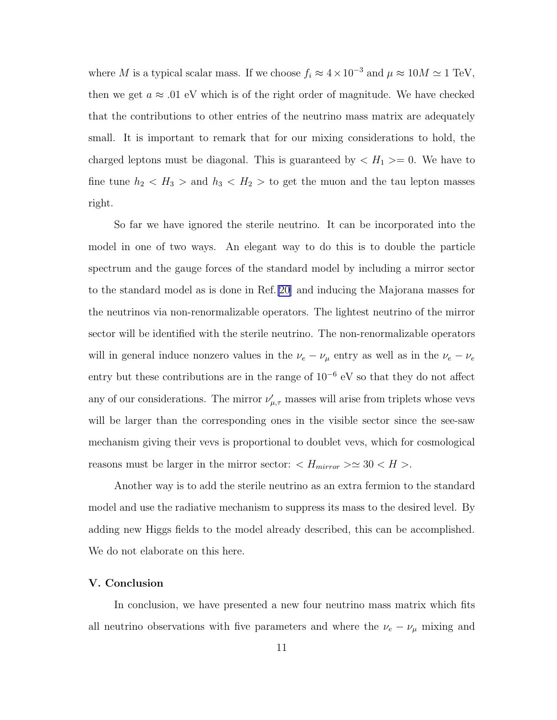where M is a typical scalar mass. If we choose  $f_i \approx 4 \times 10^{-3}$  and  $\mu \approx 10M \simeq 1$  TeV, then we get  $a \approx 0.01$  eV which is of the right order of magnitude. We have checked that the contributions to other entries of the neutrino mass matrix are adequately small. It is important to remark that for our mixing considerations to hold, the charged leptons must be diagonal. This is guaranteed by  $\langle H_1 \rangle = 0$ . We have to fine tune  $h_2 < H_3 >$  and  $h_3 < H_2 >$  to get the muon and the tau lepton masses right.

So far we have ignored the sterile neutrino. It can be incorporated into the model in one of two ways. An elegant way to do this is to double the particle spectrum and the gauge forces of the standard model by including a mirror sector to the standard model as is done in Ref.[\[20\]](#page-13-0) and inducing the Majorana masses for the neutrinos via non-renormalizable operators. The lightest neutrino of the mirror sector will be identified with the sterile neutrino. The non-renormalizable operators will in general induce nonzero values in the  $\nu_e - \nu_\mu$  entry as well as in the  $\nu_e - \nu_e$ entry but these contributions are in the range of 10<sup>−</sup><sup>6</sup> eV so that they do not affect any of our considerations. The mirror  $\nu'_{\mu,\tau}$  masses will arise from triplets whose vevs will be larger than the corresponding ones in the visible sector since the see-saw mechanism giving their vevs is proportional to doublet vevs, which for cosmological reasons must be larger in the mirror sector:  $\langle H_{mirror} \rangle \simeq 30 \langle H \rangle$ .

Another way is to add the sterile neutrino as an extra fermion to the standard model and use the radiative mechanism to suppress its mass to the desired level. By adding new Higgs fields to the model already described, this can be accomplished. We do not elaborate on this here.

## V. Conclusion

In conclusion, we have presented a new four neutrino mass matrix which fits all neutrino observations with five parameters and where the  $\nu_e-\nu_\mu$  mixing and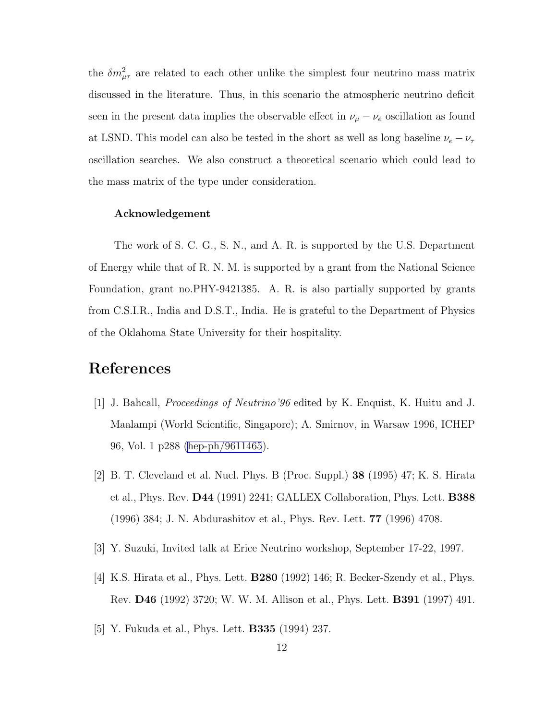<span id="page-12-0"></span>the  $\delta m_{\mu\tau}^2$  are related to each other unlike the simplest four neutrino mass matrix discussed in the literature. Thus, in this scenario the atmospheric neutrino deficit seen in the present data implies the observable effect in  $\nu_{\mu} - \nu_{e}$  oscillation as found at LSND. This model can also be tested in the short as well as long baseline  $\nu_e - \nu_\tau$ oscillation searches. We also construct a theoretical scenario which could lead to the mass matrix of the type under consideration.

#### Acknowledgement

The work of S. C. G., S. N., and A. R. is supported by the U.S. Department of Energy while that of R. N. M. is supported by a grant from the National Science Foundation, grant no.PHY-9421385. A. R. is also partially supported by grants from C.S.I.R., India and D.S.T., India. He is grateful to the Department of Physics of the Oklahoma State University for their hospitality.

# References

- [1] J. Bahcall, Proceedings of Neutrino'96 edited by K. Enquist, K. Huitu and J. Maalampi (World Scientific, Singapore); A. Smirnov, in Warsaw 1996, ICHEP 96, Vol. 1 p288 [\(hep-ph/9611465](http://arxiv.org/abs/hep-ph/9611465)).
- [2] B. T. Cleveland et al. Nucl. Phys. B (Proc. Suppl.) 38 (1995) 47; K. S. Hirata et al., Phys. Rev. D44 (1991) 2241; GALLEX Collaboration, Phys. Lett. B388 (1996) 384; J. N. Abdurashitov et al., Phys. Rev. Lett. 77 (1996) 4708.
- [3] Y. Suzuki, Invited talk at Erice Neutrino workshop, September 17-22, 1997.
- [4] K.S. Hirata et al., Phys. Lett. B280 (1992) 146; R. Becker-Szendy et al., Phys. Rev. D46 (1992) 3720; W. W. M. Allison et al., Phys. Lett. B391 (1997) 491.
- [5] Y. Fukuda et al., Phys. Lett. B335 (1994) 237.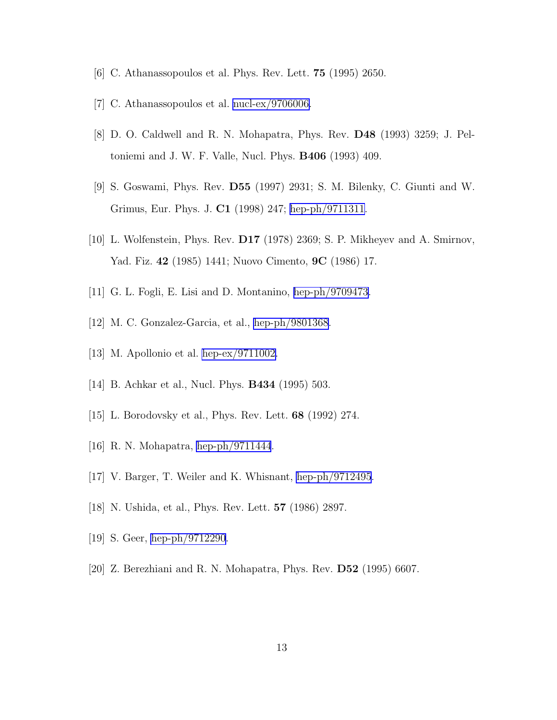- <span id="page-13-0"></span>[6] C. Athanassopoulos et al. Phys. Rev. Lett. 75 (1995) 2650.
- [7] C. Athanassopoulos et al. [nucl-ex/9706006.](http://arxiv.org/abs/nucl-ex/9706006)
- [8] D. O. Caldwell and R. N. Mohapatra, Phys. Rev. D48 (1993) 3259; J. Peltoniemi and J. W. F. Valle, Nucl. Phys. B406 (1993) 409.
- [9] S. Goswami, Phys. Rev. D55 (1997) 2931; S. M. Bilenky, C. Giunti and W. Grimus, Eur. Phys. J. C1 (1998) 247; [hep-ph/9711311.](http://arxiv.org/abs/hep-ph/9711311)
- [10] L. Wolfenstein, Phys. Rev. D17 (1978) 2369; S. P. Mikheyev and A. Smirnov, Yad. Fiz. 42 (1985) 1441; Nuovo Cimento, 9C (1986) 17.
- [11] G. L. Fogli, E. Lisi and D. Montanino, [hep-ph/9709473.](http://arxiv.org/abs/hep-ph/9709473)
- [12] M. C. Gonzalez-Garcia, et al., [hep-ph/9801368](http://arxiv.org/abs/hep-ph/9801368).
- [13] M. Apollonio et al. [hep-ex/9711002.](http://arxiv.org/abs/hep-ex/9711002)
- [14] B. Achkar et al., Nucl. Phys. B434 (1995) 503.
- [15] L. Borodovsky et al., Phys. Rev. Lett. 68 (1992) 274.
- [16] R. N. Mohapatra, [hep-ph/9711444](http://arxiv.org/abs/hep-ph/9711444).
- [17] V. Barger, T. Weiler and K. Whisnant, [hep-ph/9712495](http://arxiv.org/abs/hep-ph/9712495).
- [18] N. Ushida, et al., Phys. Rev. Lett. 57 (1986) 2897.
- [19] S. Geer, [hep-ph/9712290](http://arxiv.org/abs/hep-ph/9712290).
- [20] Z. Berezhiani and R. N. Mohapatra, Phys. Rev. D52 (1995) 6607.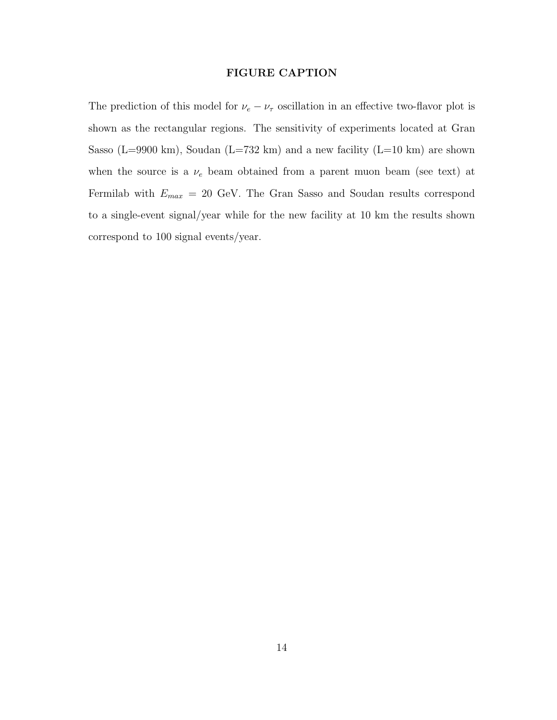# FIGURE CAPTION

The prediction of this model for  $\nu_e - \nu_\tau$  oscillation in an effective two-flavor plot is shown as the rectangular regions. The sensitivity of experiments located at Gran Sasso (L=9900 km), Soudan (L=732 km) and a new facility (L=10 km) are shown when the source is a  $\nu_e$  beam obtained from a parent muon beam (see text) at Fermilab with  $E_{max} = 20$  GeV. The Gran Sasso and Soudan results correspond to a single-event signal/year while for the new facility at 10 km the results shown correspond to 100 signal events/year.